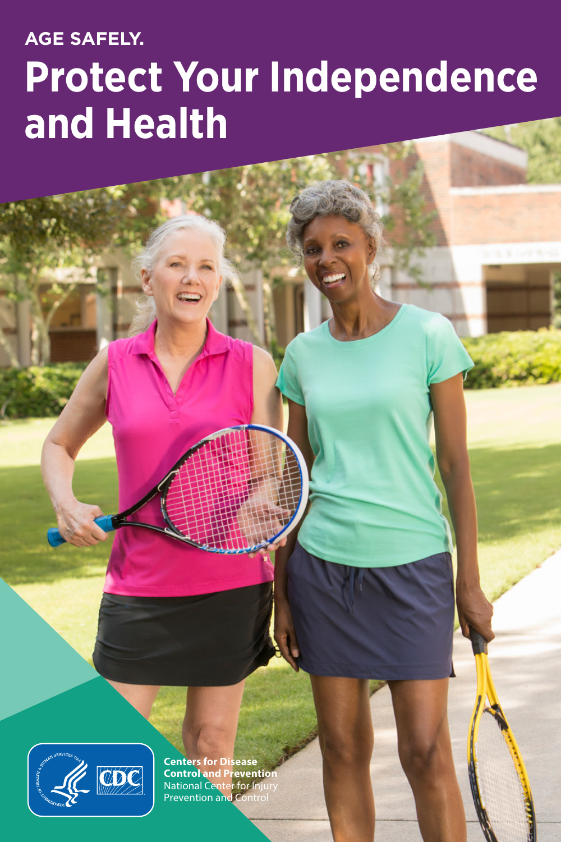# **AGE SAFELY. Protect Your Independence and Health**



**Centers for Disease Control and Prevention** National Center for Injury Prevention and Control